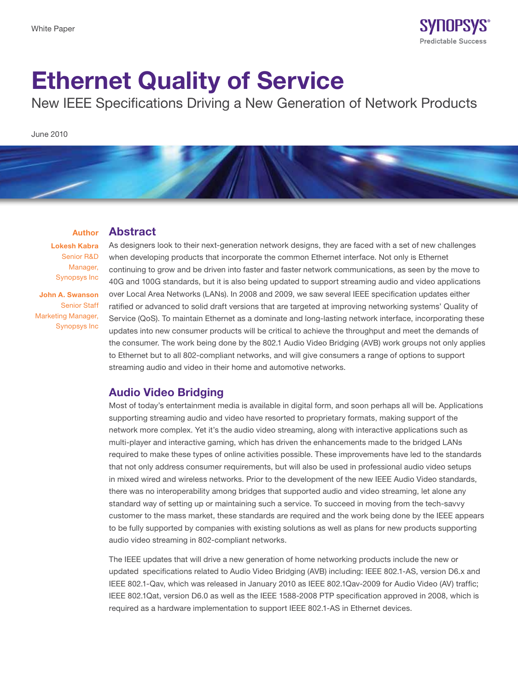

# Ethernet Quality of Service

New IEEE Specifications Driving a New Generation of Network Products

June 2010

#### Author Abstract

Lokesh Kabra Senior R&D Manager, Synopsys Inc

John A. Swanson Senior Staff Marketing Manager, Synopsys Inc

As designers look to their next-generation network designs, they are faced with a set of new challenges when developing products that incorporate the common Ethernet interface. Not only is Ethernet continuing to grow and be driven into faster and faster network communications, as seen by the move to 40G and 100G standards, but it is also being updated to support streaming audio and video applications over Local Area Networks (LANs). In 2008 and 2009, we saw several IEEE specification updates either ratified or advanced to solid draft versions that are targeted at improving networking systems' Quality of Service (QoS). To maintain Ethernet as a dominate and long-lasting network interface, incorporating these updates into new consumer products will be critical to achieve the throughput and meet the demands of the consumer. The work being done by the 802.1 Audio Video Bridging (AVB) work groups not only applies to Ethernet but to all 802-compliant networks, and will give consumers a range of options to support streaming audio and video in their home and automotive networks.

## Audio Video Bridging

Most of today's entertainment media is available in digital form, and soon perhaps all will be. Applications supporting streaming audio and video have resorted to proprietary formats, making support of the network more complex. Yet it's the audio video streaming, along with interactive applications such as multi-player and interactive gaming, which has driven the enhancements made to the bridged LANs required to make these types of online activities possible. These improvements have led to the standards that not only address consumer requirements, but will also be used in professional audio video setups in mixed wired and wireless networks. Prior to the development of the new IEEE Audio Video standards, there was no interoperability among bridges that supported audio and video streaming, let alone any standard way of setting up or maintaining such a service. To succeed in moving from the tech-savvy customer to the mass market, these standards are required and the work being done by the IEEE appears to be fully supported by companies with existing solutions as well as plans for new products supporting audio video streaming in 802-compliant networks.

The IEEE updates that will drive a new generation of home networking products include the new or updated specifications related to Audio Video Bridging (AVB) including: IEEE 802.1-AS, version D6.x and IEEE 802.1-Qav, which was released in January 2010 as IEEE 802.1Qav-2009 for Audio Video (AV) traffic; IEEE 802.1Qat, version D6.0 as well as the IEEE 1588-2008 PTP specification approved in 2008, which is required as a hardware implementation to support IEEE 802.1-AS in Ethernet devices.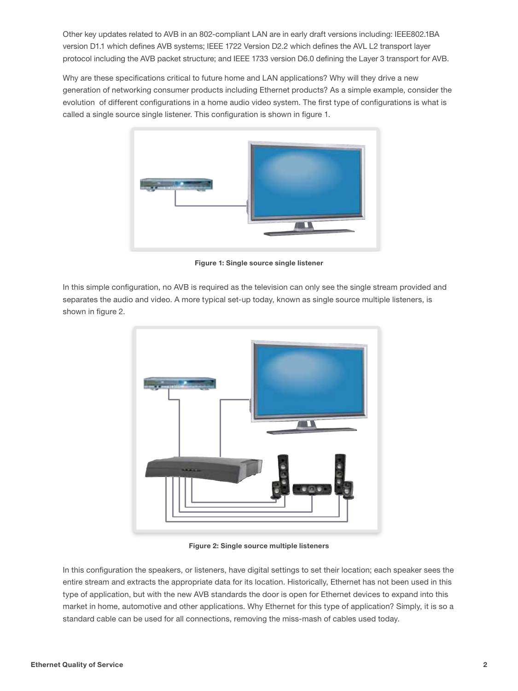Other key updates related to AVB in an 802-compliant LAN are in early draft versions including: IEEE802.1BA version D1.1 which defines AVB systems; IEEE 1722 Version D2.2 which defines the AVL L2 transport layer protocol including the AVB packet structure; and IEEE 1733 version D6.0 defining the Layer 3 transport for AVB.

Why are these specifications critical to future home and LAN applications? Why will they drive a new generation of networking consumer products including Ethernet products? As a simple example, consider the evolution of different configurations in a home audio video system. The first type of configurations is what is called a single source single listener. This configuration is shown in figure 1.



Figure 1: Single source single listener

In this simple configuration, no AVB is required as the television can only see the single stream provided and separates the audio and video. A more typical set-up today, known as single source multiple listeners, is shown in figure 2.



Figure 2: Single source multiple listeners

In this configuration the speakers, or listeners, have digital settings to set their location; each speaker sees the entire stream and extracts the appropriate data for its location. Historically, Ethernet has not been used in this type of application, but with the new AVB standards the door is open for Ethernet devices to expand into this market in home, automotive and other applications. Why Ethernet for this type of application? Simply, it is so a standard cable can be used for all connections, removing the miss-mash of cables used today.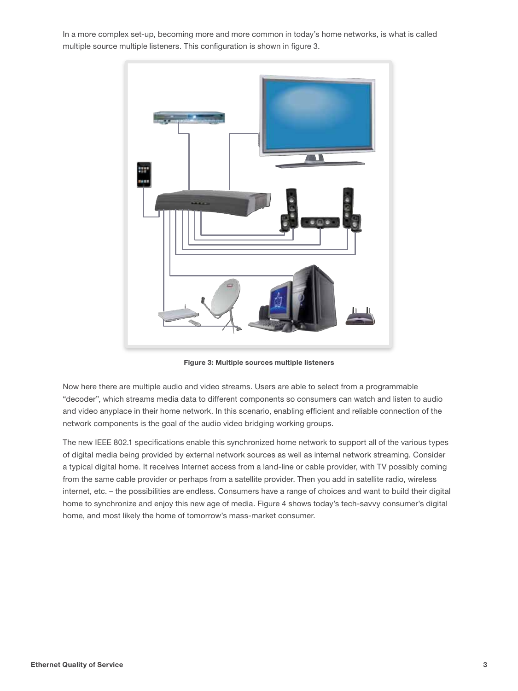In a more complex set-up, becoming more and more common in today's home networks, is what is called multiple source multiple listeners. This configuration is shown in figure 3.



Figure 3: Multiple sources multiple listeners

Now here there are multiple audio and video streams. Users are able to select from a programmable "decoder", which streams media data to different components so consumers can watch and listen to audio and video anyplace in their home network. In this scenario, enabling efficient and reliable connection of the network components is the goal of the audio video bridging working groups.

The new IEEE 802.1 specifications enable this synchronized home network to support all of the various types of digital media being provided by external network sources as well as internal network streaming. Consider a typical digital home. It receives Internet access from a land-line or cable provider, with TV possibly coming from the same cable provider or perhaps from a satellite provider. Then you add in satellite radio, wireless internet, etc. – the possibilities are endless. Consumers have a range of choices and want to build their digital home to synchronize and enjoy this new age of media. Figure 4 shows today's tech-savvy consumer's digital home, and most likely the home of tomorrow's mass-market consumer.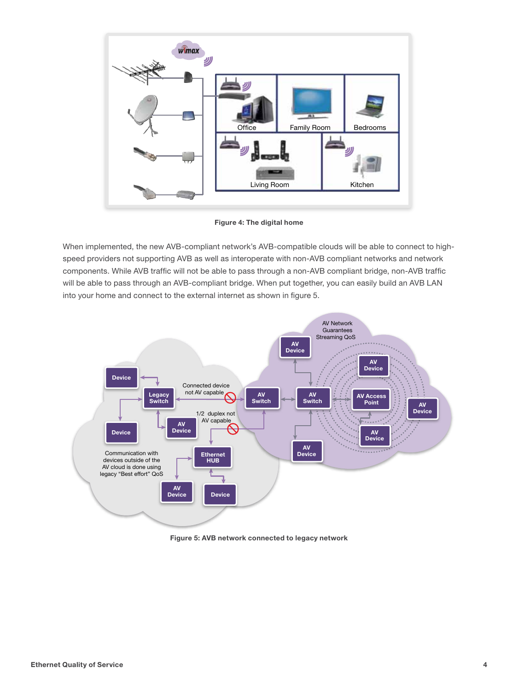

Figure 4: The digital home

When implemented, the new AVB-compliant network's AVB-compatible clouds will be able to connect to highspeed providers not supporting AVB as well as interoperate with non-AVB compliant networks and network components. While AVB traffic will not be able to pass through a non-AVB compliant bridge, non-AVB traffic will be able to pass through an AVB-compliant bridge. When put together, you can easily build an AVB LAN into your home and connect to the external internet as shown in figure 5.



Figure 5: AVB network connected to legacy network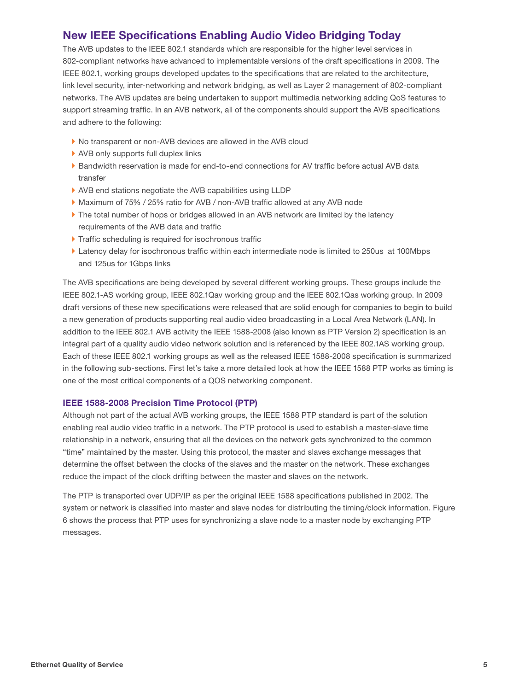## New IEEE Specifications Enabling Audio Video Bridging Today

The AVB updates to the IEEE 802.1 standards which are responsible for the higher level services in 802-compliant networks have advanced to implementable versions of the draft specifications in 2009. The IEEE 802.1, working groups developed updates to the specifications that are related to the architecture, link level security, inter-networking and network bridging, as well as Layer 2 management of 802-compliant networks. The AVB updates are being undertaken to support multimedia networking adding QoS features to support streaming traffic. In an AVB network, all of the components should support the AVB specifications and adhere to the following:

- ▶ No transparent or non-AVB devices are allowed in the AVB cloud
- ▶ AVB only supports full duplex links
- ` Bandwidth reservation is made for end-to-end connections for AV traffic before actual AVB data transfer
- ` AVB end stations negotiate the AVB capabilities using LLDP
- ▶ Maximum of 75% / 25% ratio for AVB / non-AVB traffic allowed at any AVB node
- If The total number of hops or bridges allowed in an AVB network are limited by the latency requirements of the AVB data and traffic
- $\blacktriangleright$  Traffic scheduling is required for isochronous traffic
- ` Latency delay for isochronous traffic within each intermediate node is limited to 250us at 100Mbps and 125us for 1Gbps links

The AVB specifications are being developed by several different working groups. These groups include the IEEE 802.1-AS working group, IEEE 802.1Qav working group and the IEEE 802.1Qas working group. In 2009 draft versions of these new specifications were released that are solid enough for companies to begin to build a new generation of products supporting real audio video broadcasting in a Local Area Network (LAN). In addition to the IEEE 802.1 AVB activity the IEEE 1588-2008 (also known as PTP Version 2) specification is an integral part of a quality audio video network solution and is referenced by the IEEE 802.1AS working group. Each of these IEEE 802.1 working groups as well as the released IEEE 1588-2008 specification is summarized in the following sub-sections. First let's take a more detailed look at how the IEEE 1588 PTP works as timing is one of the most critical components of a QOS networking component.

### IEEE 1588-2008 Precision Time Protocol (PTP)

Although not part of the actual AVB working groups, the IEEE 1588 PTP standard is part of the solution enabling real audio video traffic in a network. The PTP protocol is used to establish a master-slave time relationship in a network, ensuring that all the devices on the network gets synchronized to the common "time" maintained by the master. Using this protocol, the master and slaves exchange messages that determine the offset between the clocks of the slaves and the master on the network. These exchanges reduce the impact of the clock drifting between the master and slaves on the network.

The PTP is transported over UDP/IP as per the original IEEE 1588 specifications published in 2002. The system or network is classified into master and slave nodes for distributing the timing/clock information. Figure 6 shows the process that PTP uses for synchronizing a slave node to a master node by exchanging PTP messages.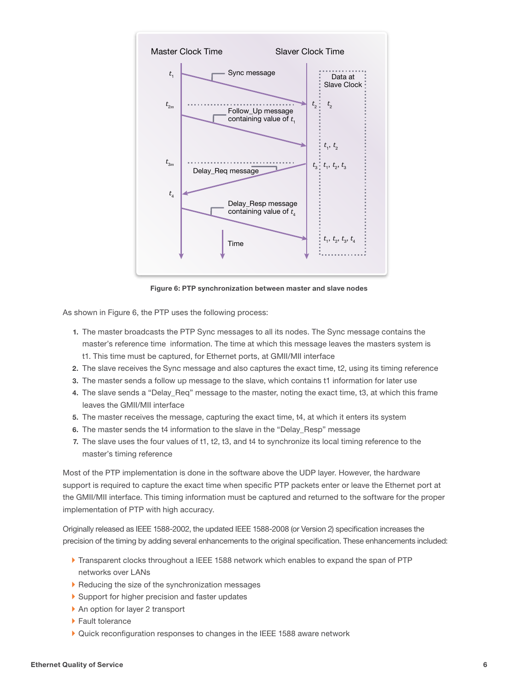

Figure 6: PTP synchronization between master and slave nodes

As shown in Figure 6, the PTP uses the following process:

- 1. The master broadcasts the PTP Sync messages to all its nodes. The Sync message contains the master's reference time information. The time at which this message leaves the masters system is t1. This time must be captured, for Ethernet ports, at GMII/MII interface
- 2. The slave receives the Sync message and also captures the exact time, t2, using its timing reference
- 3. The master sends a follow up message to the slave, which contains t1 information for later use
- 4. The slave sends a "Delay\_Req" message to the master, noting the exact time, t3, at which this frame leaves the GMII/MII interface
- 5. The master receives the message, capturing the exact time, t4, at which it enters its system
- 6. The master sends the t4 information to the slave in the "Delay\_Resp" message
- 7. The slave uses the four values of t1, t2, t3, and t4 to synchronize its local timing reference to the master's timing reference

Most of the PTP implementation is done in the software above the UDP layer. However, the hardware support is required to capture the exact time when specific PTP packets enter or leave the Ethernet port at the GMII/MII interface. This timing information must be captured and returned to the software for the proper implementation of PTP with high accuracy.

Originally released as IEEE 1588-2002, the updated IEEE 1588-2008 (or Version 2) specification increases the precision of the timing by adding several enhancements to the original specification. These enhancements included:

- ` Transparent clocks throughout a IEEE 1588 network which enables to expand the span of PTP networks over LANs
- $\blacktriangleright$  Reducing the size of the synchronization messages
- Support for higher precision and faster updates
- ▶ An option for layer 2 transport
- ▶ Fault tolerance
- ` Quick reconfiguration responses to changes in the IEEE 1588 aware network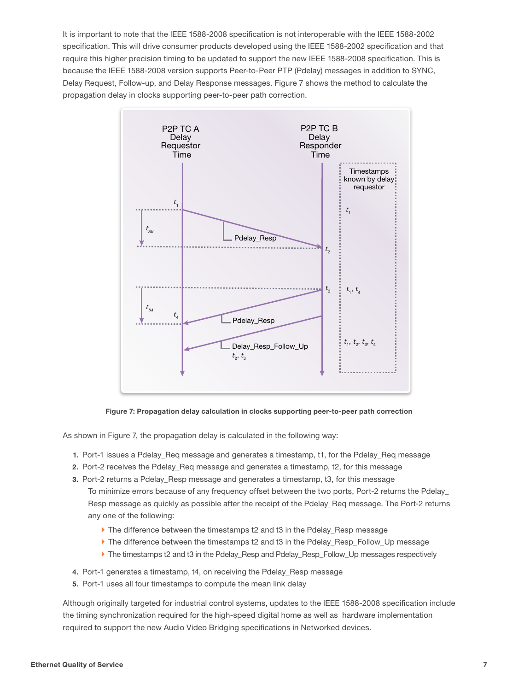It is important to note that the IEEE 1588-2008 specification is not interoperable with the IEEE 1588-2002 specification. This will drive consumer products developed using the IEEE 1588-2002 specification and that require this higher precision timing to be updated to support the new IEEE 1588-2008 specification. This is because the IEEE 1588-2008 version supports Peer-to-Peer PTP (Pdelay) messages in addition to SYNC, Delay Request, Follow-up, and Delay Response messages. Figure 7 shows the method to calculate the propagation delay in clocks supporting peer-to-peer path correction.



Figure 7: Propagation delay calculation in clocks supporting peer-to-peer path correction

As shown in Figure 7, the propagation delay is calculated in the following way:

- 1. Port-1 issues a Pdelay\_Req message and generates a timestamp, t1, for the Pdelay\_Req message
- 2. Port-2 receives the Pdelay\_Req message and generates a timestamp, t2, for this message
- 3. Port-2 returns a Pdelay\_Resp message and generates a timestamp, t3, for this message To minimize errors because of any frequency offset between the two ports, Port-2 returns the Pdelay\_ Resp message as quickly as possible after the receipt of the Pdelay\_Req message. The Port-2 returns any one of the following:
	- ▶ The difference between the timestamps t2 and t3 in the Pdelay\_Resp message
	- ` The difference between the timestamps t2 and t3 in the Pdelay\_Resp\_Follow\_Up message
	- If The timestamps t2 and t3 in the Pdelay Resp and Pdelay Resp\_Follow\_Up messages respectively
- 4. Port-1 generates a timestamp, t4, on receiving the Pdelay\_Resp message
- 5. Port-1 uses all four timestamps to compute the mean link delay

Although originally targeted for industrial control systems, updates to the IEEE 1588-2008 specification include the timing synchronization required for the high-speed digital home as well as hardware implementation required to support the new Audio Video Bridging specifications in Networked devices.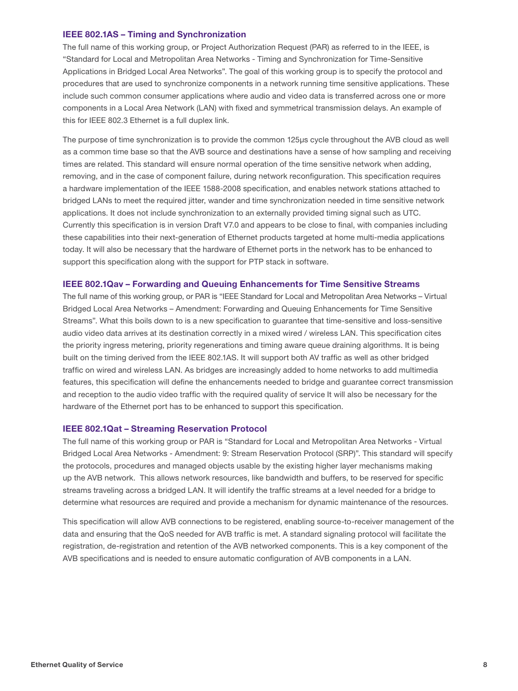#### IEEE 802.1AS – Timing and Synchronization

The full name of this working group, or Project Authorization Request (PAR) as referred to in the IEEE, is "Standard for Local and Metropolitan Area Networks - Timing and Synchronization for Time-Sensitive Applications in Bridged Local Area Networks". The goal of this working group is to specify the protocol and procedures that are used to synchronize components in a network running time sensitive applications. These include such common consumer applications where audio and video data is transferred across one or more components in a Local Area Network (LAN) with fixed and symmetrical transmission delays. An example of this for IEEE 802.3 Ethernet is a full duplex link.

The purpose of time synchronization is to provide the common 125μs cycle throughout the AVB cloud as well as a common time base so that the AVB source and destinations have a sense of how sampling and receiving times are related. This standard will ensure normal operation of the time sensitive network when adding, removing, and in the case of component failure, during network reconfiguration. This specification requires a hardware implementation of the IEEE 1588-2008 specification, and enables network stations attached to bridged LANs to meet the required jitter, wander and time synchronization needed in time sensitive network applications. It does not include synchronization to an externally provided timing signal such as UTC. Currently this specification is in version Draft V7.0 and appears to be close to final, with companies including these capabilities into their next-generation of Ethernet products targeted at home multi-media applications today. It will also be necessary that the hardware of Ethernet ports in the network has to be enhanced to support this specification along with the support for PTP stack in software.

#### IEEE 802.1Qav – Forwarding and Queuing Enhancements for Time Sensitive Streams

The full name of this working group, or PAR is "IEEE Standard for Local and Metropolitan Area Networks – Virtual Bridged Local Area Networks – Amendment: Forwarding and Queuing Enhancements for Time Sensitive Streams". What this boils down to is a new specification to guarantee that time-sensitive and loss-sensitive audio video data arrives at its destination correctly in a mixed wired / wireless LAN. This specification cites the priority ingress metering, priority regenerations and timing aware queue draining algorithms. It is being built on the timing derived from the IEEE 802.1AS. It will support both AV traffic as well as other bridged traffic on wired and wireless LAN. As bridges are increasingly added to home networks to add multimedia features, this specification will define the enhancements needed to bridge and guarantee correct transmission and reception to the audio video traffic with the required quality of service It will also be necessary for the hardware of the Ethernet port has to be enhanced to support this specification.

#### IEEE 802.1Qat – Streaming Reservation Protocol

The full name of this working group or PAR is "Standard for Local and Metropolitan Area Networks - Virtual Bridged Local Area Networks - Amendment: 9: Stream Reservation Protocol (SRP)". This standard will specify the protocols, procedures and managed objects usable by the existing higher layer mechanisms making up the AVB network. This allows network resources, like bandwidth and buffers, to be reserved for specific streams traveling across a bridged LAN. It will identify the traffic streams at a level needed for a bridge to determine what resources are required and provide a mechanism for dynamic maintenance of the resources.

This specification will allow AVB connections to be registered, enabling source-to-receiver management of the data and ensuring that the QoS needed for AVB traffic is met. A standard signaling protocol will facilitate the registration, de-registration and retention of the AVB networked components. This is a key component of the AVB specifications and is needed to ensure automatic configuration of AVB components in a LAN.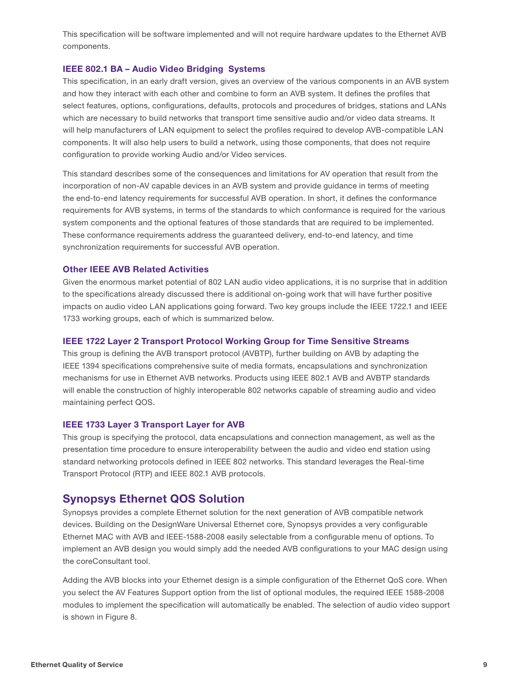This specification will be software implemented and will not require hardware updates to the Ethernet AVB components.

#### IEEE 802.1 BA – Audio Video Bridging Systems

This specification, in an early draft version, gives an overview of the various components in an AVB system and how they interact with each other and combine to form an AVB system. It defines the profiles that select features, options, configurations, defaults, protocols and procedures of bridges, stations and LANs which are necessary to build networks that transport time sensitive audio and/or video data streams. It will help manufacturers of LAN equipment to select the profiles required to develop AVB-compatible LAN components. It will also help users to build a network, using those components, that does not require configuration to provide working Audio and/or Video services.

This standard describes some of the consequences and limitations for AV operation that result from the incorporation of non-AV capable devices in an AVB system and provide guidance in terms of meeting the end-to-end latency requirements for successful AVB operation. In short, it defines the conformance requirements for AVB systems, in terms of the standards to which conformance is required for the various system components and the optional features of those standards that are required to be implemented. These conformance requirements address the guaranteed delivery, end-to-end latency, and time synchronization requirements for successful AVB operation.

#### Other IEEE AVB Related Activities

Given the enormous market potential of 802 LAN audio video applications, it is no surprise that in addition to the specifications already discussed there is additional on-going work that will have further positive impacts on audio video LAN applications going forward. Two key groups include the IEEE 1722.1 and IEEE 1733 working groups, each of which is summarized below.

#### IEEE 1722 Layer 2 Transport Protocol Working Group for Time Sensitive Streams

This group is defining the AVB transport protocol (AVBTP), further building on AVB by adapting the IEEE 1394 specifications comprehensive suite of media formats, encapsulations and synchronization mechanisms for use in Ethernet AVB networks. Products using IEEE 802.1 AVB and AVBTP standards will enable the construction of highly interoperable 802 networks capable of streaming audio and video maintaining perfect QOS.

#### IEEE 1733 Layer 3 Transport Layer for AVB

This group is specifying the protocol, data encapsulations and connection management, as well as the presentation time procedure to ensure interoperability between the audio and video end station using standard networking protocols defined in IEEE 802 networks. This standard leverages the Real-time Transport Protocol (RTP) and IEEE 802.1 AVB protocols.

### Synopsys Ethernet QOS Solution

Synopsys provides a complete Ethernet solution for the next generation of AVB compatible network devices. Building on the DesignWare Universal Ethernet core, Synopsys provides a very configurable Ethernet MAC with AVB and IEEE-1588-2008 easily selectable from a configurable menu of options. To implement an AVB design you would simply add the needed AVB configurations to your MAC design using the coreConsultant tool.

Adding the AVB blocks into your Ethernet design is a simple configuration of the Ethernet QoS core. When you select the AV Features Support option from the list of optional modules, the required IEEE 1588-2008 modules to implement the specification will automatically be enabled. The selection of audio video support is shown in Figure 8.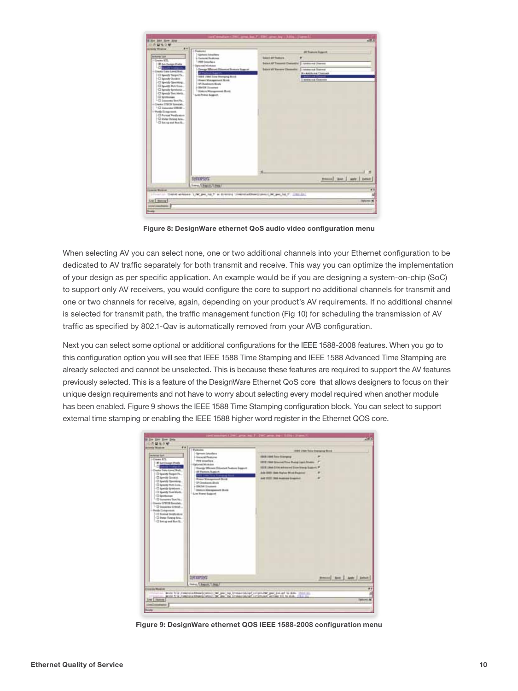

Figure 8: DesignWare ethernet QoS audio video configuration menu

When selecting AV you can select none, one or two additional channels into your Ethernet configuration to be dedicated to AV traffic separately for both transmit and receive. This way you can optimize the implementation of your design as per specific application. An example would be if you are designing a system-on-chip (SoC) to support only AV receivers, you would configure the core to support no additional channels for transmit and one or two channels for receive, again, depending on your product's AV requirements. If no additional channel is selected for transmit path, the traffic management function (Fig 10) for scheduling the transmission of AV traffic as specified by 802.1-Qav is automatically removed from your AVB configuration.

Next you can select some optional or additional configurations for the IEEE 1588-2008 features. When you go to this configuration option you will see that IEEE 1588 Time Stamping and IEEE 1588 Advanced Time Stamping are already selected and cannot be unselected. This is because these features are required to support the AV features previously selected. This is a feature of the DesignWare Ethernet QoS core that allows designers to focus on their unique design requirements and not have to worry about selecting every model required when another module has been enabled. Figure 9 shows the IEEE 1588 Time Stamping configuration block. You can select to support external time stamping or enabling the IEEE 1588 higher word register in the Ethernet QOS core.



Figure 9: DesignWare ethernet QOS IEEE 1588-2008 configuration menu